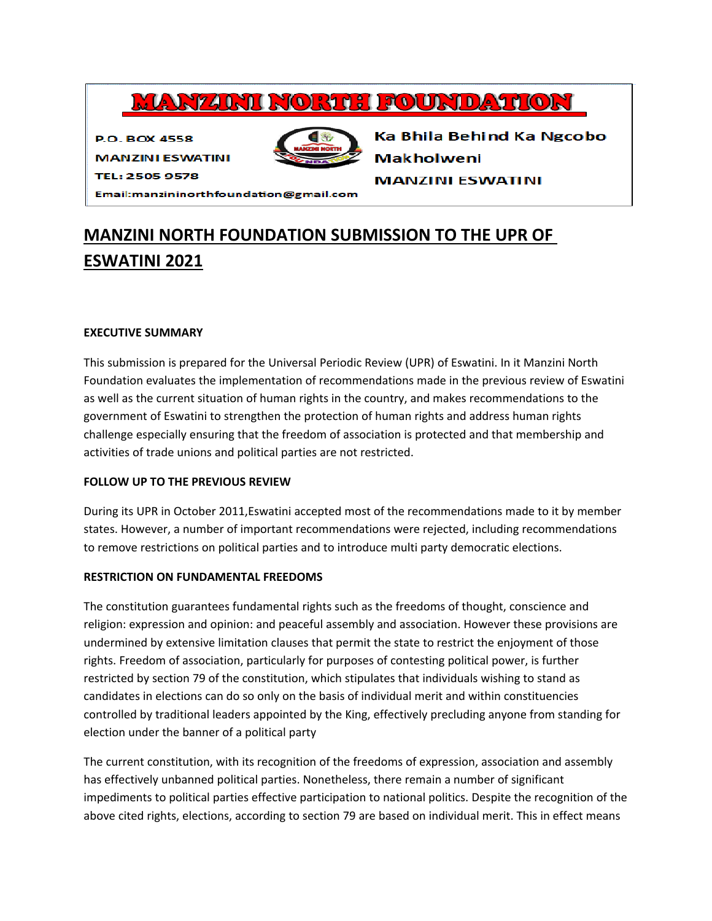# **MANZINI NORTH FOUNDATION**

**P.O. BOX 4558** 



Ka Bhila Behind Ka Ngcobo **Makholweni** 

**MANZINI ESWATINI** 

TEL: 2505 9578

**MANZINI ESWATINI** 

Email:manzininorthfoundation@gmail.com

# **MANZINI NORTH FOUNDATION SUBMISSION TO THE UPR OF ESWATINI 2021**

### **EXECUTIVE SUMMARY**

This submission is prepared for the Universal Periodic Review (UPR) of Eswatini. In it Manzini North Foundation evaluates the implementation of recommendations made in the previous review of Eswatini as well as the current situation of human rights in the country, and makes recommendations to the government of Eswatini to strengthen the protection of human rights and address human rights challenge especially ensuring that the freedom of association is protected and that membership and activities of trade unions and political parties are not restricted.

## **FOLLOW UP TO THE PREVIOUS REVIEW**

During its UPR in October 2011,Eswatini accepted most of the recommendations made to it by member states. However, <sup>a</sup> number of important recommendations were rejected, including recommendations to remove restrictions on political parties and to introduce multi party democratic elections.

### **RESTRICTION ON FUNDAMENTAL FREEDOMS**

The constitution guarantees fundamental rights such as the freedoms of thought, conscience and religion: expression and opinion: and peaceful assembly and association. However these provisions are undermined by extensive limitation clauses that permit the state to restrict the enjoyment of those rights. Freedom of association, particularly for purposes of contesting political power, is further restricted by section 79 of the constitution, which stipulates that individuals wishing to stand as candidates in elections can do so only on the basis of individual merit and within constituencies controlled by traditional leaders appointed by the King, effectively precluding anyone from standing for election under the banner of <sup>a</sup> political party

The current constitution, with its recognition of the freedoms of expression, association and assembly has effectively unbanned political parties. Nonetheless, there remain <sup>a</sup> number of significant impediments to political parties effective participation to national politics. Despite the recognition of the above cited rights, elections, according to section 79 are based on individual merit. This in effect means